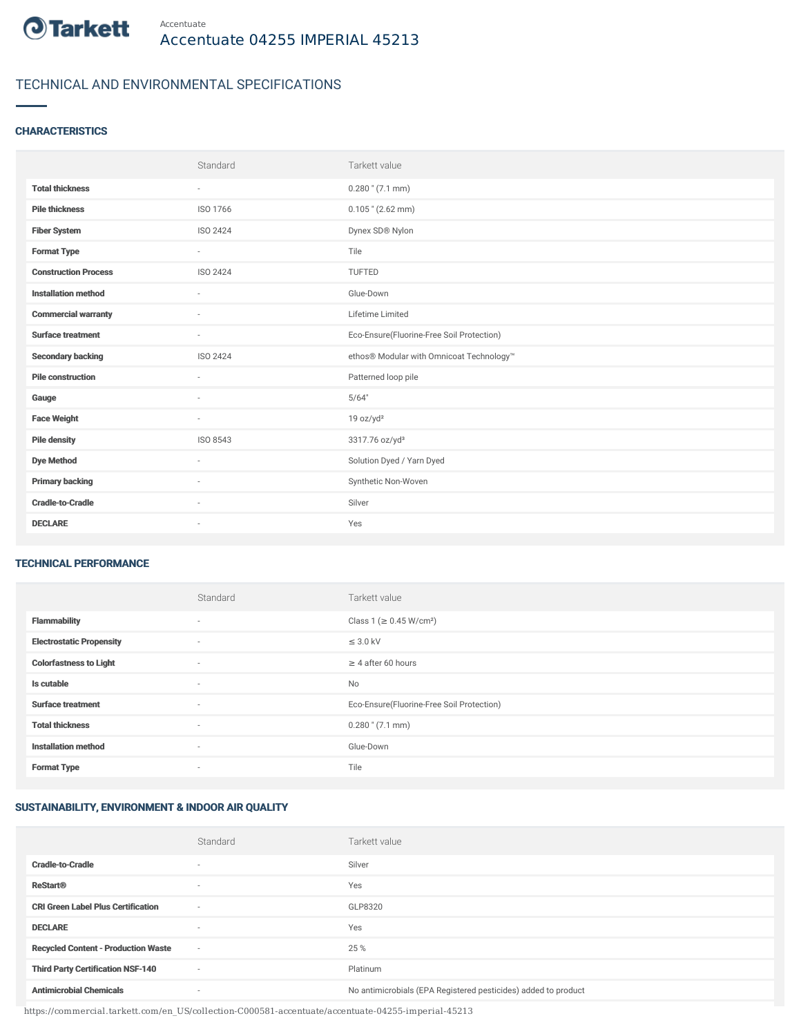

## TECHNICAL AND ENVIRONMENTAL SPECIFICATIONS

### **CHARACTERISTICS**

|                             | Standard                 | Tarkett value                             |
|-----------------------------|--------------------------|-------------------------------------------|
| <b>Total thickness</b>      | $\sim$                   | $0.280$ " (7.1 mm)                        |
| <b>Pile thickness</b>       | ISO 1766                 | $0.105$ " (2.62 mm)                       |
| <b>Fiber System</b>         | ISO 2424                 | Dynex SD® Nylon                           |
| <b>Format Type</b>          | $\sim$                   | Tile                                      |
| <b>Construction Process</b> | <b>ISO 2424</b>          | <b>TUFTED</b>                             |
| <b>Installation method</b>  | $\overline{\phantom{a}}$ | Glue-Down                                 |
| <b>Commercial warranty</b>  | $\sim$                   | Lifetime Limited                          |
| <b>Surface treatment</b>    | $\sim$                   | Eco-Ensure(Fluorine-Free Soil Protection) |
| <b>Secondary backing</b>    | ISO 2424                 | ethos® Modular with Omnicoat Technology™  |
| <b>Pile construction</b>    |                          | Patterned loop pile                       |
| Gauge                       |                          | 5/64"                                     |
| <b>Face Weight</b>          | $\sim$                   | 19 oz/yd <sup>2</sup>                     |
| <b>Pile density</b>         | ISO 8543                 | 3317.76 oz/yd <sup>3</sup>                |
| <b>Dye Method</b>           | $\sim$                   | Solution Dyed / Yarn Dyed                 |
| <b>Primary backing</b>      | $\sim$                   | Synthetic Non-Woven                       |
| <b>Cradle-to-Cradle</b>     | $\sim$                   | Silver                                    |
| <b>DECLARE</b>              | $\sim$                   | Yes                                       |

#### TECHNICAL PERFORMANCE

|                                 | Standard                 | Tarkett value                             |
|---------------------------------|--------------------------|-------------------------------------------|
| <b>Flammability</b>             | $\overline{\phantom{a}}$ | Class 1 (≥ 0.45 W/cm <sup>2</sup> )       |
| <b>Electrostatic Propensity</b> | $\sim$                   | $\leq$ 3.0 kV                             |
| <b>Colorfastness to Light</b>   | ۰                        | $\geq 4$ after 60 hours                   |
| Is cutable                      | $\sim$                   | No                                        |
| <b>Surface treatment</b>        | $\sim$                   | Eco-Ensure(Fluorine-Free Soil Protection) |
| <b>Total thickness</b>          | $\sim$                   | $0.280$ " (7.1 mm)                        |
| <b>Installation method</b>      | $\sim$                   | Glue-Down                                 |
| <b>Format Type</b>              |                          | Tile                                      |

### SUSTAINABILITY, ENVIRONMENT & INDOOR AIR QUALITY

|                                            | Standard                 | Tarkett value                                                  |
|--------------------------------------------|--------------------------|----------------------------------------------------------------|
| <b>Cradle-to-Cradle</b>                    | ۰                        | Silver                                                         |
| <b>ReStart®</b>                            |                          | Yes                                                            |
| <b>CRI Green Label Plus Certification</b>  | $\sim$                   | GLP8320                                                        |
| <b>DECLARE</b>                             | $\overline{\phantom{a}}$ | Yes                                                            |
| <b>Recycled Content - Production Waste</b> | $\overline{\phantom{a}}$ | 25 %                                                           |
| <b>Third Party Certification NSF-140</b>   | $\sim$                   | Platinum                                                       |
| <b>Antimicrobial Chemicals</b>             |                          | No antimicrobials (EPA Registered pesticides) added to product |

https://commercial.tarkett.com/en\_US/collection-C000581-accentuate/accentuate-04255-imperial-45213